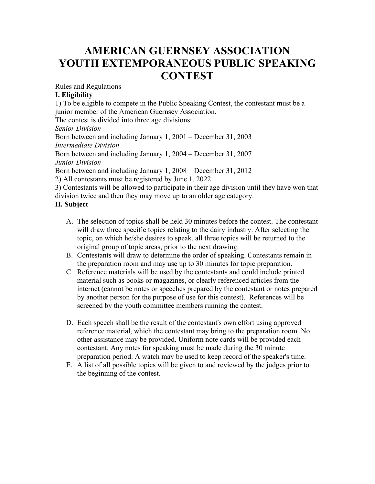# **AMERICAN GUERNSEY ASSOCIATION YOUTH EXTEMPORANEOUS PUBLIC SPEAKING CONTEST**

Rules and Regulations

## **I. Eligibility**

1) To be eligible to compete in the Public Speaking Contest, the contestant must be a junior member of the American Guernsey Association.

The contest is divided into three age divisions:

*Senior Division* Born between and including January 1, 2001 – December 31, 2003 *Intermediate Division* Born between and including January 1, 2004 – December 31, 2007 *Junior Division* Born between and including January 1, 2008 – December 31, 2012 2) All contestants must be registered by June 1, 2022.

3) Contestants will be allowed to participate in their age division until they have won that division twice and then they may move up to an older age category.

# **II. Subject**

- A. The selection of topics shall be held 30 minutes before the contest. The contestant will draw three specific topics relating to the dairy industry. After selecting the topic, on which he/she desires to speak, all three topics will be returned to the original group of topic areas, prior to the next drawing.
- B. Contestants will draw to determine the order of speaking. Contestants remain in the preparation room and may use up to 30 minutes for topic preparation.
- C. Reference materials will be used by the contestants and could include printed material such as books or magazines, or clearly referenced articles from the internet (cannot be notes or speeches prepared by the contestant or notes prepared by another person for the purpose of use for this contest). References will be screened by the youth committee members running the contest.
- D. Each speech shall be the result of the contestant's own effort using approved reference material, which the contestant may bring to the preparation room. No other assistance may be provided. Uniform note cards will be provided each contestant. Any notes for speaking must be made during the 30 minute preparation period. A watch may be used to keep record of the speaker's time.
- E. A list of all possible topics will be given to and reviewed by the judges prior to the beginning of the contest.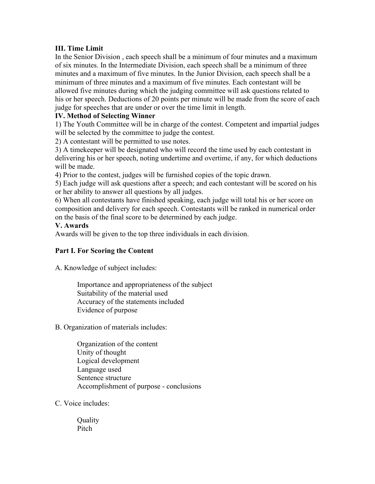## **III. Time Limit**

In the Senior Division , each speech shall be a minimum of four minutes and a maximum of six minutes. In the Intermediate Division, each speech shall be a minimum of three minutes and a maximum of five minutes. In the Junior Division, each speech shall be a minimum of three minutes and a maximum of five minutes. Each contestant will be allowed five minutes during which the judging committee will ask questions related to his or her speech. Deductions of 20 points per minute will be made from the score of each judge for speeches that are under or over the time limit in length.

## **IV. Method of Selecting Winner**

1) The Youth Committee will be in charge of the contest. Competent and impartial judges will be selected by the committee to judge the contest.

2) A contestant will be permitted to use notes.

3) A timekeeper will be designated who will record the time used by each contestant in delivering his or her speech, noting undertime and overtime, if any, for which deductions will be made.

4) Prior to the contest, judges will be furnished copies of the topic drawn.

5) Each judge will ask questions after a speech; and each contestant will be scored on his or her ability to answer all questions by all judges.

6) When all contestants have finished speaking, each judge will total his or her score on composition and delivery for each speech. Contestants will be ranked in numerical order on the basis of the final score to be determined by each judge.

#### **V. Awards**

Awards will be given to the top three individuals in each division.

## **Part I. For Scoring the Content**

A. Knowledge of subject includes:

Importance and appropriateness of the subject Suitability of the material used Accuracy of the statements included Evidence of purpose

B. Organization of materials includes:

Organization of the content Unity of thought Logical development Language used Sentence structure Accomplishment of purpose - conclusions

C. Voice includes:

**Quality** Pitch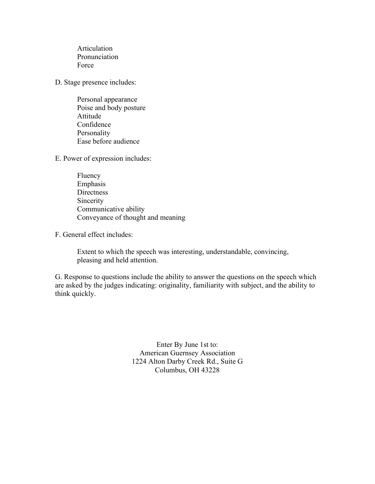Articulation Pronunciation Force

D. Stage presence includes:

Personal appearance Poise and body posture Attitude Confidence Personality Ease before audience

E. Power of expression includes:

Fluency Emphasis **Directness** Sincerity Communicative ability Conveyance of thought and meaning

F. General effect includes:

Extent to which the speech was interesting, understandable, convincing, pleasing and held attention.

G. Response to questions include the ability to answer the questions on the speech which are asked by the judges indicating: originality, familiarity with subject, and the ability to think quickly.

> Enter By June 1st to: American Guernsey Association 1224 Alton Darby Creek Rd., Suite G Columbus, OH 43228